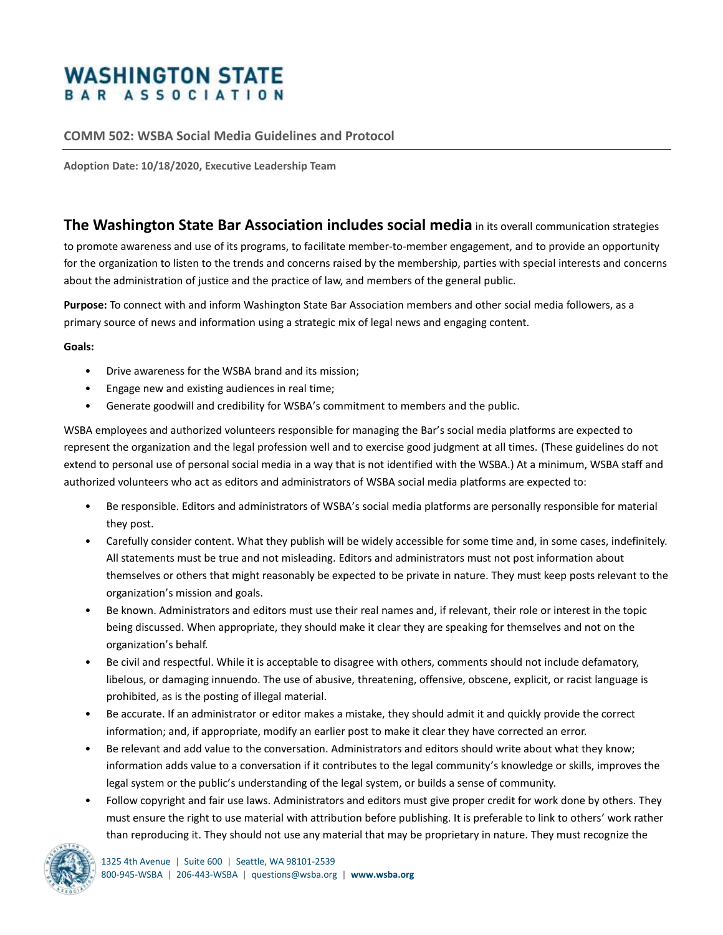## **WASHINGTON STATE** BAR ASSOCIATION

## **COMM 502: WSBA Social Media Guidelines and Protocol**

**Adoption Date: 10/18/2020, Executive Leadership Team**

## **The Washington State Bar Association includes social media** in its overall communication strategies

to promote awareness and use of its programs, to facilitate member-to-member engagement, and to provide an opportunity for the organization to listen to the trends and concerns raised by the membership, parties with special interests and concerns about the administration of justice and the practice of law, and members of the general public.

**Purpose:** To connect with and inform Washington State Bar Association members and other social media followers, as a primary source of news and information using a strategic mix of legal news and engaging content.

**Goals:** 

- Drive awareness for the WSBA brand and its mission;
- Engage new and existing audiences in real time;
- Generate goodwill and credibility for WSBA's commitment to members and the public.

WSBA employees and authorized volunteers responsible for managing the Bar's social media platforms are expected to represent the organization and the legal profession well and to exercise good judgment at all times. (These guidelines do not extend to personal use of personal social media in a way that is not identified with the WSBA.) At a minimum, WSBA staff and authorized volunteers who act as editors and administrators of WSBA social media platforms are expected to:

- Be responsible. Editors and administrators of WSBA's social media platforms are personally responsible for material they post.
- Carefully consider content. What they publish will be widely accessible for some time and, in some cases, indefinitely. All statements must be true and not misleading. Editors and administrators must not post information about themselves or others that might reasonably be expected to be private in nature. They must keep posts relevant to the organization's mission and goals.
- Be known. Administrators and editors must use their real names and, if relevant, their role or interest in the topic being discussed. When appropriate, they should make it clear they are speaking for themselves and not on the organization's behalf.
- Be civil and respectful. While it is acceptable to disagree with others, comments should not include defamatory, libelous, or damaging innuendo. The use of abusive, threatening, offensive, obscene, explicit, or racist language is prohibited, as is the posting of illegal material.
- Be accurate. If an administrator or editor makes a mistake, they should admit it and quickly provide the correct information; and, if appropriate, modify an earlier post to make it clear they have corrected an error.
- Be relevant and add value to the conversation. Administrators and editors should write about what they know; information adds value to a conversation if it contributes to the legal community's knowledge or skills, improves the legal system or the public's understanding of the legal system, or builds a sense of community.
- Follow copyright and fair use laws. Administrators and editors must give proper credit for work done by others. They must ensure the right to use material with attribution before publishing. It is preferable to link to others' work rather than reproducing it. They should not use any material that may be proprietary in nature. They must recognize the